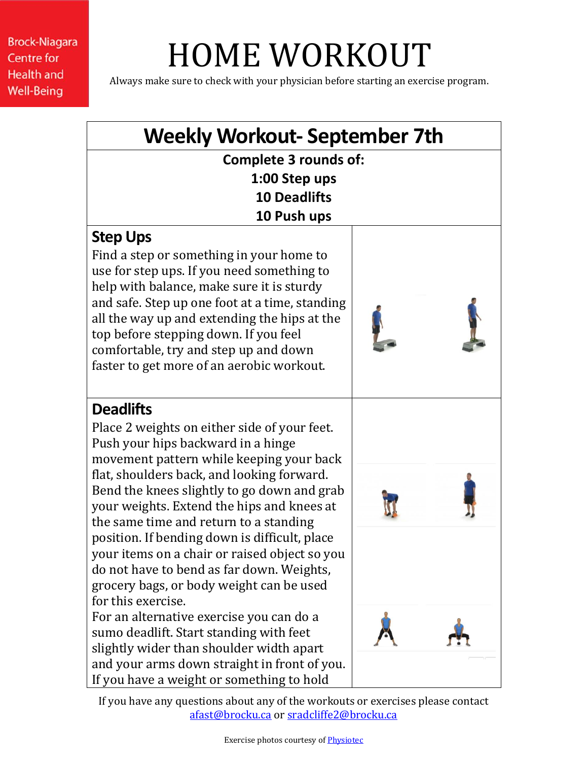**Brock-Niagara Centre for Health and Well-Being** 

## HOME WORKOUT

Always make sure to check with your physician before starting an exercise program.



If you have any questions about any of the workouts or exercises please contact [afast@brocku.ca](mailto:afast@brocku.ca) or [sradcliffe2@brocku.ca](mailto:sradcliffe2@brocku.ca)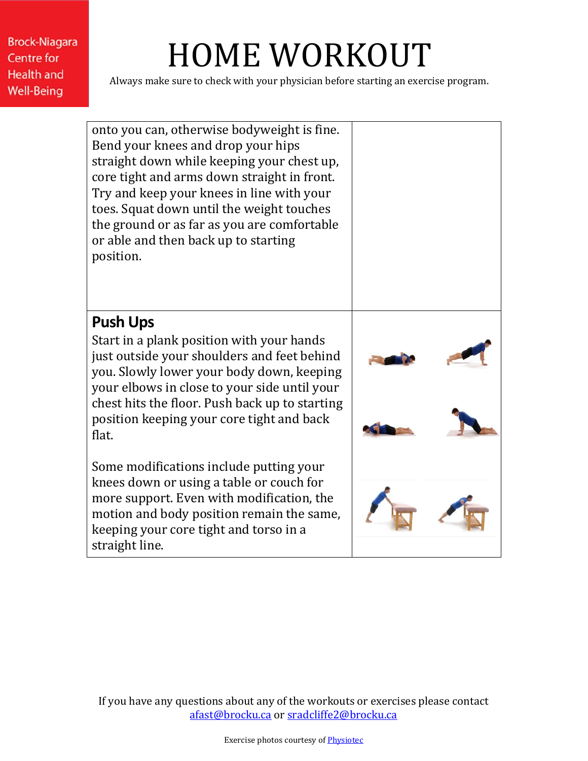**Brock-Niagara Centre for Health and Well-Being** 

## HOME WORKOUT

Always make sure to check with your physician before starting an exercise program.

onto you can, otherwise bodyweight is fine. Bend your knees and drop your hips straight down while keeping your chest up, core tight and arms down straight in front. Try and keep your knees in line with your toes. Squat down until the weight touches the ground or as far as you are comfortable or able and then back up to starting position.

## **Push Ups**

Start in a plank position with your hands just outside your shoulders and feet behind you. Slowly lower your body down, keeping your elbows in close to your side until your chest hits the floor. Push back up to starting position keeping your core tight and back flat.

Some modifications include putting your knees down or using a table or couch for more support. Even with modification, the motion and body position remain the same, keeping your core tight and torso in a straight line.



If you have any questions about any of the workouts or exercises please contact [afast@brocku.ca](mailto:afast@brocku.ca) or [sradcliffe2@brocku.ca](mailto:sradcliffe2@brocku.ca)